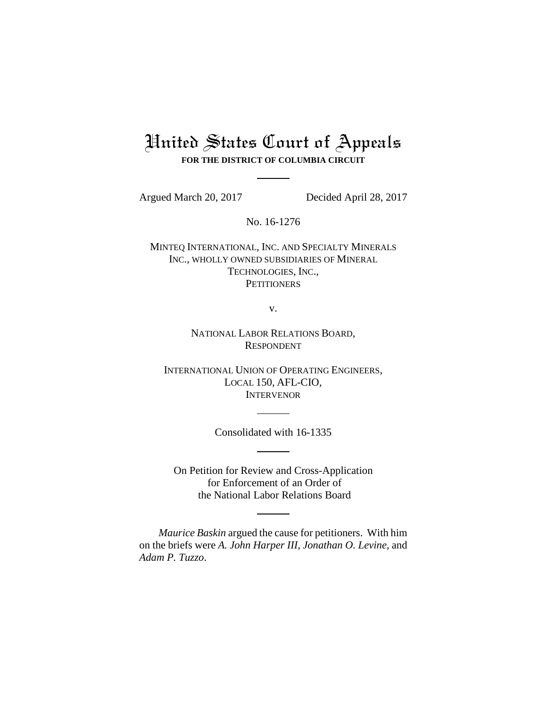# United States Court of Appeals **FOR THE DISTRICT OF COLUMBIA CIRCUIT**

Argued March 20, 2017 Decided April 28, 2017

No. 16-1276

MINTEQ INTERNATIONAL, INC. AND SPECIALTY MINERALS INC., WHOLLY OWNED SUBSIDIARIES OF MINERAL TECHNOLOGIES, INC., **PETITIONERS** 

v.

NATIONAL LABOR RELATIONS BOARD, RESPONDENT

INTERNATIONAL UNION OF OPERATING ENGINEERS, LOCAL 150, AFL-CIO, INTERVENOR

Consolidated with 16-1335

On Petition for Review and Cross-Application for Enforcement of an Order of the National Labor Relations Board

*Maurice Baskin* argued the cause for petitioners. With him on the briefs were *A. John Harper III*, *Jonathan O. Levine*, and *Adam P. Tuzzo*.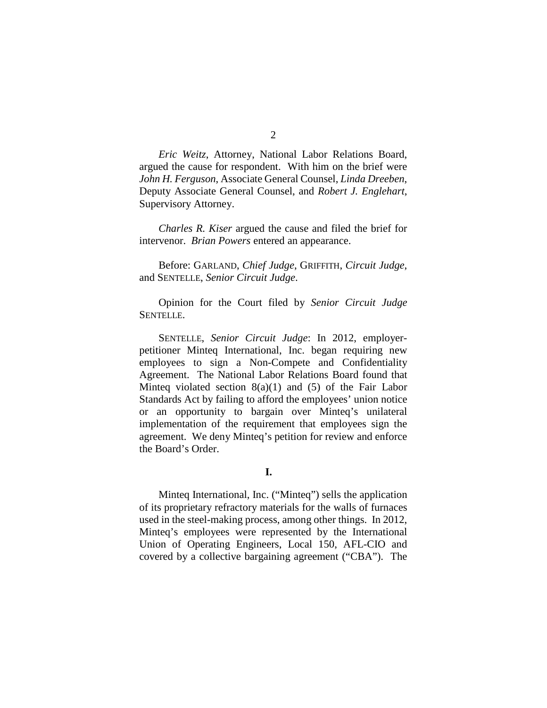*Eric Weitz*, Attorney, National Labor Relations Board, argued the cause for respondent. With him on the brief were *John H. Ferguson*, Associate General Counsel, *Linda Dreeben*, Deputy Associate General Counsel, and *Robert J. Englehart*, Supervisory Attorney.

*Charles R. Kiser* argued the cause and filed the brief for intervenor. *Brian Powers* entered an appearance.

Before: GARLAND, *Chief Judge*, GRIFFITH, *Circuit Judge*, and SENTELLE, *Senior Circuit Judge*.

Opinion for the Court filed by *Senior Circuit Judge*  SENTELLE.

SENTELLE, *Senior Circuit Judge*: In 2012, employerpetitioner Minteq International, Inc. began requiring new employees to sign a Non-Compete and Confidentiality Agreement. The National Labor Relations Board found that Minteq violated section  $8(a)(1)$  and  $(5)$  of the Fair Labor Standards Act by failing to afford the employees' union notice or an opportunity to bargain over Minteq's unilateral implementation of the requirement that employees sign the agreement. We deny Minteq's petition for review and enforce the Board's Order.

**I.**

Minteq International, Inc. ("Minteq") sells the application of its proprietary refractory materials for the walls of furnaces used in the steel-making process, among other things. In 2012, Minteq's employees were represented by the International Union of Operating Engineers, Local 150, AFL-CIO and covered by a collective bargaining agreement ("CBA"). The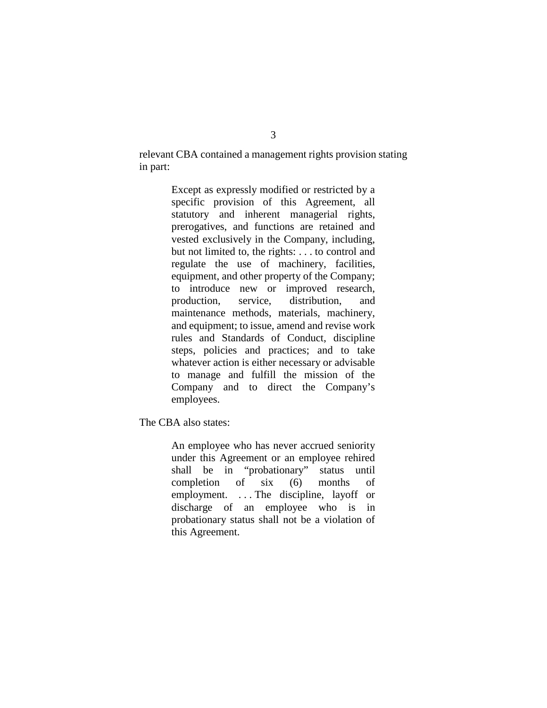relevant CBA contained a management rights provision stating in part:

> Except as expressly modified or restricted by a specific provision of this Agreement, all statutory and inherent managerial rights, prerogatives, and functions are retained and vested exclusively in the Company, including, but not limited to, the rights: . . . to control and regulate the use of machinery, facilities, equipment, and other property of the Company; to introduce new or improved research, production, service, distribution, and maintenance methods, materials, machinery, and equipment; to issue, amend and revise work rules and Standards of Conduct, discipline steps, policies and practices; and to take whatever action is either necessary or advisable to manage and fulfill the mission of the Company and to direct the Company's employees.

The CBA also states:

An employee who has never accrued seniority under this Agreement or an employee rehired shall be in "probationary" status until completion of six (6) months of employment. . . . The discipline, layoff or discharge of an employee who is in probationary status shall not be a violation of this Agreement.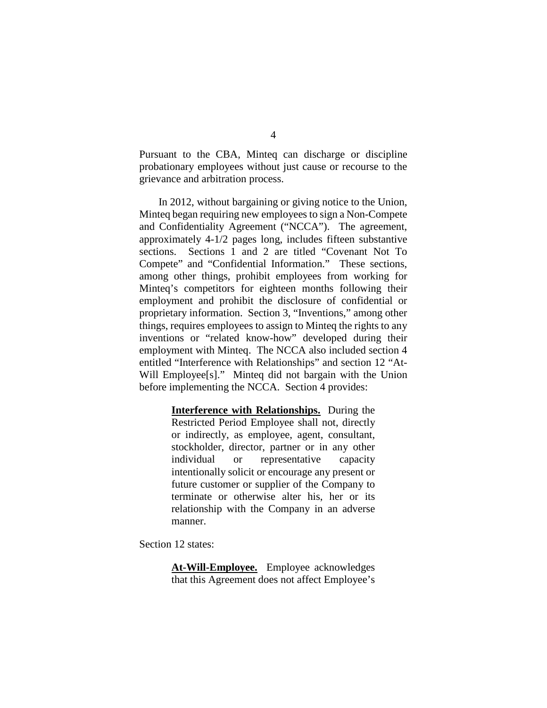Pursuant to the CBA, Minteq can discharge or discipline probationary employees without just cause or recourse to the grievance and arbitration process.

In 2012, without bargaining or giving notice to the Union, Minteq began requiring new employees to sign a Non-Compete and Confidentiality Agreement ("NCCA"). The agreement, approximately 4-1/2 pages long, includes fifteen substantive sections. Sections 1 and 2 are titled "Covenant Not To Compete" and "Confidential Information." These sections, among other things, prohibit employees from working for Minteq's competitors for eighteen months following their employment and prohibit the disclosure of confidential or proprietary information. Section 3, "Inventions," among other things, requires employees to assign to Minteq the rights to any inventions or "related know-how" developed during their employment with Minteq. The NCCA also included section 4 entitled "Interference with Relationships" and section 12 "At-Will Employee<sup>[s]</sup>." Minteq did not bargain with the Union before implementing the NCCA. Section 4 provides:

> **Interference with Relationships.** During the Restricted Period Employee shall not, directly or indirectly, as employee, agent, consultant, stockholder, director, partner or in any other individual or representative capacity intentionally solicit or encourage any present or future customer or supplier of the Company to terminate or otherwise alter his, her or its relationship with the Company in an adverse manner.

Section 12 states:

**At-Will-Employee.** Employee acknowledges that this Agreement does not affect Employee's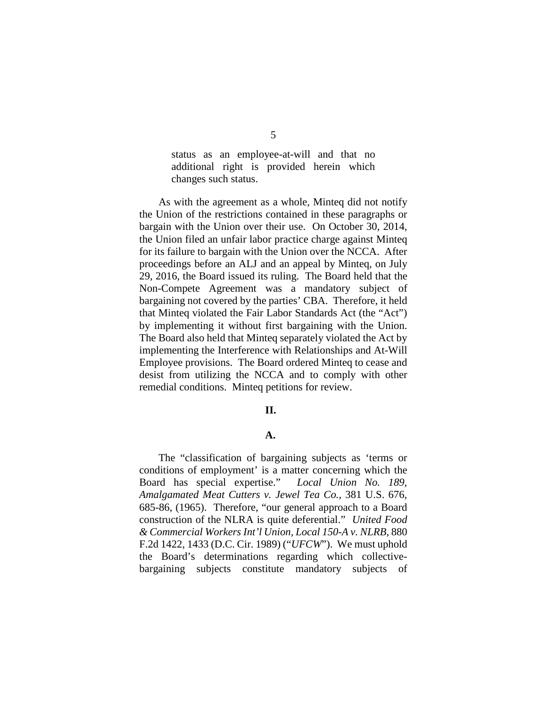status as an employee-at-will and that no additional right is provided herein which changes such status.

As with the agreement as a whole, Minteq did not notify the Union of the restrictions contained in these paragraphs or bargain with the Union over their use. On October 30, 2014, the Union filed an unfair labor practice charge against Minteq for its failure to bargain with the Union over the NCCA. After proceedings before an ALJ and an appeal by Minteq, on July 29, 2016, the Board issued its ruling. The Board held that the Non-Compete Agreement was a mandatory subject of bargaining not covered by the parties' CBA. Therefore, it held that Minteq violated the Fair Labor Standards Act (the "Act") by implementing it without first bargaining with the Union. The Board also held that Minteq separately violated the Act by implementing the Interference with Relationships and At-Will Employee provisions. The Board ordered Minteq to cease and desist from utilizing the NCCA and to comply with other remedial conditions. Minteq petitions for review.

#### **II.**

### **A.**

The "classification of bargaining subjects as 'terms or conditions of employment' is a matter concerning which the Board has special expertise." *Local Union No. 189, Amalgamated Meat Cutters v. Jewel Tea Co.*, 381 U.S. 676, 685-86, (1965). Therefore, "our general approach to a Board construction of the NLRA is quite deferential." *United Food & Commercial Workers Int'l Union, Local 150-A v. NLRB*, 880 F.2d 1422, 1433 (D.C. Cir. 1989) ("*UFCW*"). We must uphold the Board's determinations regarding which collectivebargaining subjects constitute mandatory subjects of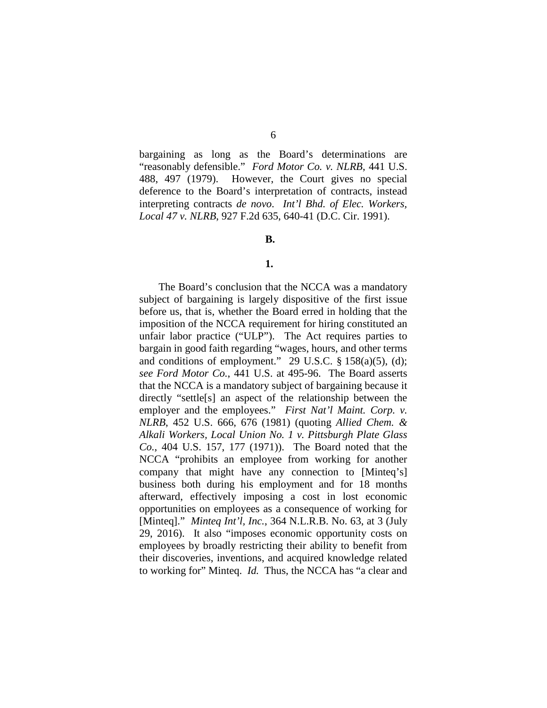bargaining as long as the Board's determinations are "reasonably defensible." *Ford Motor Co. v. NLRB*, 441 U.S. 488, 497 (1979). However, the Court gives no special deference to the Board's interpretation of contracts, instead interpreting contracts *de novo*. *Int'l Bhd. of Elec. Workers, Local 47 v. NLRB*, 927 F.2d 635, 640-41 (D.C. Cir. 1991).

#### **B.**

#### **1.**

The Board's conclusion that the NCCA was a mandatory subject of bargaining is largely dispositive of the first issue before us, that is, whether the Board erred in holding that the imposition of the NCCA requirement for hiring constituted an unfair labor practice ("ULP"). The Act requires parties to bargain in good faith regarding "wages, hours, and other terms and conditions of employment." 29 U.S.C.  $\S$  158(a)(5), (d); *see Ford Motor Co.*, 441 U.S. at 495-96. The Board asserts that the NCCA is a mandatory subject of bargaining because it directly "settle[s] an aspect of the relationship between the employer and the employees." *First Nat'l Maint. Corp. v. NLRB*, 452 U.S. 666, 676 (1981) (quoting *Allied Chem. & Alkali Workers, Local Union No. 1 v. Pittsburgh Plate Glass Co.*, 404 U.S. 157, 177 (1971)). The Board noted that the NCCA "prohibits an employee from working for another company that might have any connection to [Minteq's] business both during his employment and for 18 months afterward, effectively imposing a cost in lost economic opportunities on employees as a consequence of working for [Minteq]." *Minteq Int'l, Inc.*, 364 N.L.R.B. No. 63, at 3 (July 29, 2016). It also "imposes economic opportunity costs on employees by broadly restricting their ability to benefit from their discoveries, inventions, and acquired knowledge related to working for" Minteq. *Id.*Thus, the NCCA has "a clear and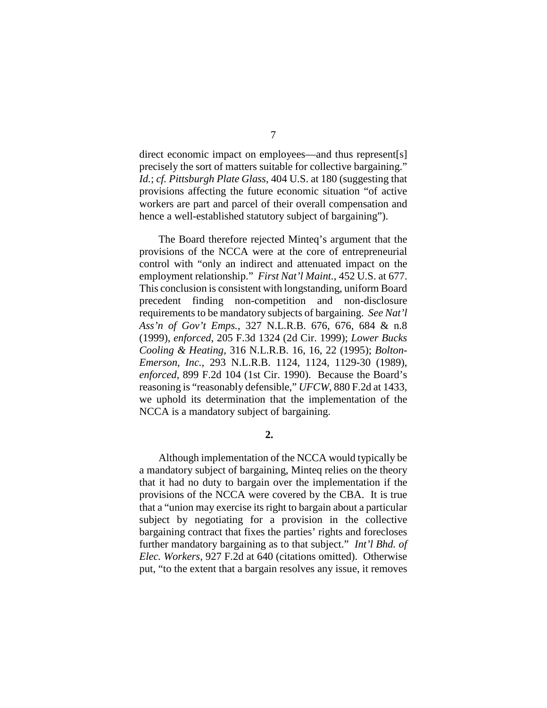direct economic impact on employees—and thus represent[s] precisely the sort of matters suitable for collective bargaining." *Id.*; *cf. Pittsburgh Plate Glass*, 404 U.S. at 180 (suggesting that provisions affecting the future economic situation "of active workers are part and parcel of their overall compensation and hence a well-established statutory subject of bargaining").

The Board therefore rejected Minteq's argument that the provisions of the NCCA were at the core of entrepreneurial control with "only an indirect and attenuated impact on the employment relationship." *First Nat'l Maint.*, 452 U.S. at 677. This conclusion is consistent with longstanding, uniform Board precedent finding non-competition and non-disclosure requirements to be mandatory subjects of bargaining. *See Nat'l Ass'n of Gov't Emps.*, 327 N.L.R.B. 676, 676, 684 & n.8 (1999), *enforced*, 205 F.3d 1324 (2d Cir. 1999); *Lower Bucks Cooling & Heating*, 316 N.L.R.B. 16, 16, 22 (1995); *Bolton-Emerson, Inc.*, 293 N.L.R.B. 1124, 1124, 1129-30 (1989), *enforced*, 899 F.2d 104 (1st Cir. 1990). Because the Board's reasoning is "reasonably defensible," *UFCW*, 880 F.2d at 1433, we uphold its determination that the implementation of the NCCA is a mandatory subject of bargaining.

**2.**

Although implementation of the NCCA would typically be a mandatory subject of bargaining, Minteq relies on the theory that it had no duty to bargain over the implementation if the provisions of the NCCA were covered by the CBA. It is true that a "union may exercise its right to bargain about a particular subject by negotiating for a provision in the collective bargaining contract that fixes the parties' rights and forecloses further mandatory bargaining as to that subject." *Int'l Bhd. of Elec. Workers*, 927 F.2d at 640 (citations omitted). Otherwise put, "to the extent that a bargain resolves any issue, it removes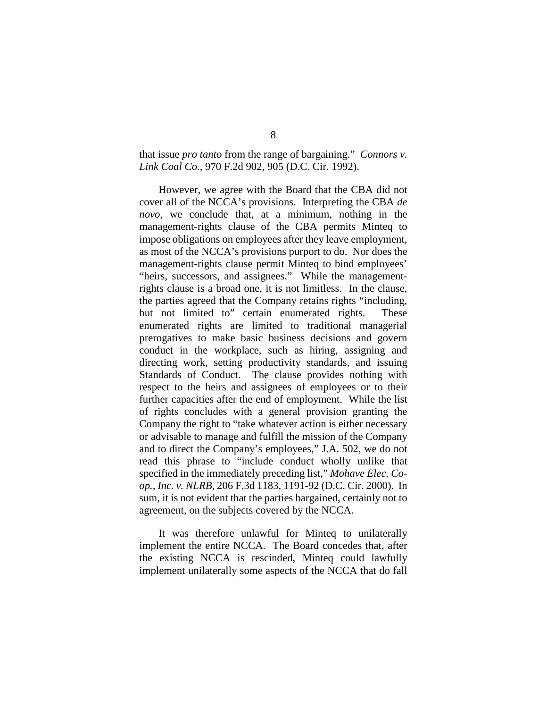## that issue *pro tanto* from the range of bargaining." *Connors v. Link Coal Co.*, 970 F.2d 902, 905 (D.C. Cir. 1992).

However, we agree with the Board that the CBA did not cover all of the NCCA's provisions. Interpreting the CBA *de novo*, we conclude that, at a minimum, nothing in the management-rights clause of the CBA permits Minteq to impose obligations on employees after they leave employment, as most of the NCCA's provisions purport to do. Nor does the management-rights clause permit Minteq to bind employees' "heirs, successors, and assignees." While the managementrights clause is a broad one, it is not limitless. In the clause, the parties agreed that the Company retains rights "including, but not limited to" certain enumerated rights. These enumerated rights are limited to traditional managerial prerogatives to make basic business decisions and govern conduct in the workplace, such as hiring, assigning and directing work, setting productivity standards, and issuing Standards of Conduct. The clause provides nothing with respect to the heirs and assignees of employees or to their further capacities after the end of employment. While the list of rights concludes with a general provision granting the Company the right to "take whatever action is either necessary or advisable to manage and fulfill the mission of the Company and to direct the Company's employees," J.A. 502, we do not read this phrase to "include conduct wholly unlike that specified in the immediately preceding list," *Mohave Elec. Coop., Inc. v. NLRB*, 206 F.3d 1183, 1191-92 (D.C. Cir. 2000). In sum, it is not evident that the parties bargained, certainly not to agreement, on the subjects covered by the NCCA.

It was therefore unlawful for Minteq to unilaterally implement the entire NCCA. The Board concedes that, after the existing NCCA is rescinded, Minteq could lawfully implement unilaterally some aspects of the NCCA that do fall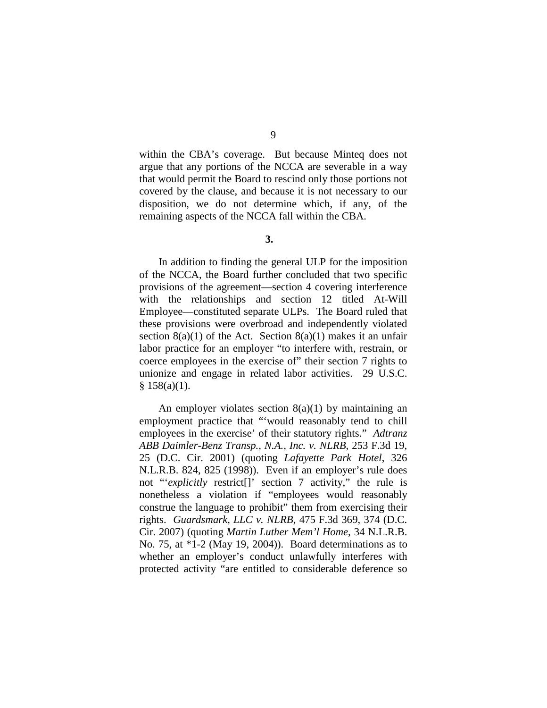9

within the CBA's coverage. But because Minteq does not argue that any portions of the NCCA are severable in a way that would permit the Board to rescind only those portions not covered by the clause, and because it is not necessary to our disposition, we do not determine which, if any, of the remaining aspects of the NCCA fall within the CBA.

**3.**

In addition to finding the general ULP for the imposition of the NCCA, the Board further concluded that two specific provisions of the agreement—section 4 covering interference with the relationships and section 12 titled At-Will Employee—constituted separate ULPs. The Board ruled that these provisions were overbroad and independently violated section  $8(a)(1)$  of the Act. Section  $8(a)(1)$  makes it an unfair labor practice for an employer "to interfere with, restrain, or coerce employees in the exercise of" their section 7 rights to unionize and engage in related labor activities. 29 U.S.C.  $§ 158(a)(1).$ 

An employer violates section  $8(a)(1)$  by maintaining an employment practice that "'would reasonably tend to chill employees in the exercise' of their statutory rights." *Adtranz ABB Daimler-Benz Transp., N.A., Inc. v. NLRB*, 253 F.3d 19, 25 (D.C. Cir. 2001) (quoting *Lafayette Park Hotel*, 326 N.L.R.B. 824, 825 (1998)). Even if an employer's rule does not "'*explicitly* restrict[]' section 7 activity," the rule is nonetheless a violation if "employees would reasonably construe the language to prohibit" them from exercising their rights. *Guardsmark, LLC v. NLRB*, 475 F.3d 369, 374 (D.C. Cir. 2007) (quoting *Martin Luther Mem'l Home*, 34 N.L.R.B. No. 75, at \*1-2 (May 19, 2004)). Board determinations as to whether an employer's conduct unlawfully interferes with protected activity "are entitled to considerable deference so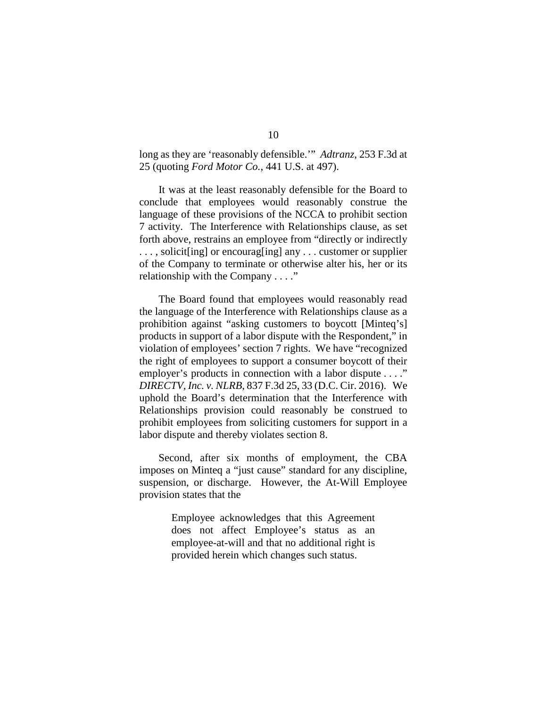long as they are 'reasonably defensible.'" *Adtranz*, 253 F.3d at 25 (quoting *Ford Motor Co.*, 441 U.S. at 497).

It was at the least reasonably defensible for the Board to conclude that employees would reasonably construe the language of these provisions of the NCCA to prohibit section 7 activity. The Interference with Relationships clause, as set forth above, restrains an employee from "directly or indirectly ..., solicit [ing] or encouraging] any ... customer or supplier of the Company to terminate or otherwise alter his, her or its relationship with the Company . . . ."

The Board found that employees would reasonably read the language of the Interference with Relationships clause as a prohibition against "asking customers to boycott [Minteq's] products in support of a labor dispute with the Respondent," in violation of employees' section 7 rights. We have "recognized the right of employees to support a consumer boycott of their employer's products in connection with a labor dispute . . . ." *DIRECTV, Inc. v. NLRB*, 837 F.3d 25, 33 (D.C. Cir. 2016). We uphold the Board's determination that the Interference with Relationships provision could reasonably be construed to prohibit employees from soliciting customers for support in a labor dispute and thereby violates section 8.

Second, after six months of employment, the CBA imposes on Minteq a "just cause" standard for any discipline, suspension, or discharge. However, the At-Will Employee provision states that the

> Employee acknowledges that this Agreement does not affect Employee's status as an employee-at-will and that no additional right is provided herein which changes such status.